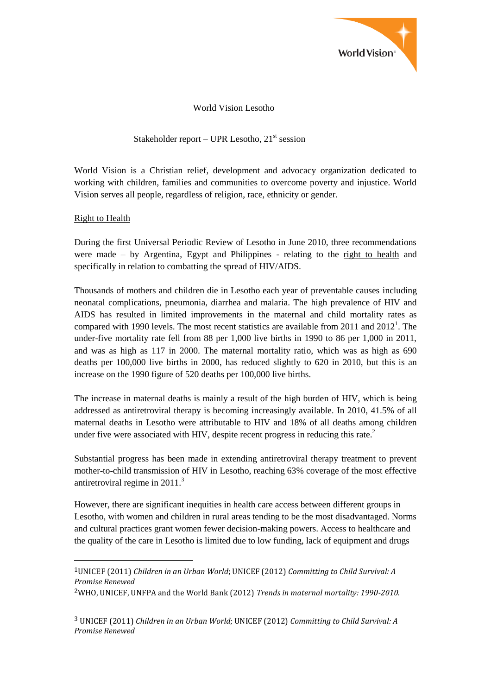

World Vision Lesotho

# Stakeholder report – UPR Lesotho,  $21<sup>st</sup>$  session

World Vision is a Christian relief, development and advocacy organization dedicated to working with children, families and communities to overcome poverty and injustice. World Vision serves all people, regardless of religion, race, ethnicity or gender.

## Right to Health

 $\overline{a}$ 

During the first Universal Periodic Review of Lesotho in June 2010, three recommendations were made – by Argentina, Egypt and Philippines - relating to the right to health and specifically in relation to combatting the spread of HIV/AIDS.

Thousands of mothers and children die in Lesotho each year of preventable causes including neonatal complications, pneumonia, diarrhea and malaria. The high prevalence of HIV and AIDS has resulted in limited improvements in the maternal and child mortality rates as compared with 1990 levels. The most recent statistics are available from 2011 and  $2012<sup>1</sup>$ . The under-five mortality rate fell from 88 per 1,000 live births in 1990 to 86 per 1,000 in 2011, and was as high as 117 in 2000. The maternal mortality ratio, which was as high as 690 deaths per 100,000 live births in 2000, has reduced slightly to 620 in 2010, but this is an increase on the 1990 figure of 520 deaths per 100,000 live births.

The increase in maternal deaths is mainly a result of the high burden of HIV, which is being addressed as antiretroviral therapy is becoming increasingly available. In 2010, 41.5% of all maternal deaths in Lesotho were attributable to HIV and 18% of all deaths among children under five were associated with HIV, despite recent progress in reducing this rate.<sup>2</sup>

Substantial progress has been made in extending antiretroviral therapy treatment to prevent mother-to-child transmission of HIV in Lesotho, reaching 63% coverage of the most effective antiretroviral regime in 2011.<sup>3</sup>

However, there are significant inequities in health care access between different groups in Lesotho, with women and children in rural areas tending to be the most disadvantaged. Norms and cultural practices grant women fewer decision-making powers. Access to healthcare and the quality of the care in Lesotho is limited due to low funding, lack of equipment and drugs

<sup>1</sup>UNICEF (2011) *Children in an Urban World*; UNICEF (2012) *Committing to Child Survival: A Promise Renewed*

<sup>2</sup>WHO, UNICEF, UNFPA and the World Bank (2012) *Trends in maternal mortality: 1990-2010*.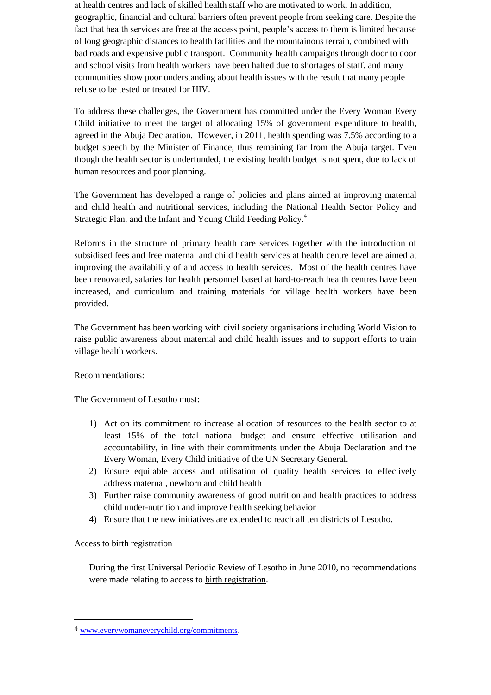at health centres and lack of skilled health staff who are motivated to work. In addition, geographic, financial and cultural barriers often prevent people from seeking care. Despite the fact that health services are free at the access point, people's access to them is limited because of long geographic distances to health facilities and the mountainous terrain, combined with bad roads and expensive public transport. Community health campaigns through door to door and school visits from health workers have been halted due to shortages of staff, and many communities show poor understanding about health issues with the result that many people refuse to be tested or treated for HIV.

To address these challenges, the Government has committed under the Every Woman Every Child initiative to meet the target of allocating 15% of government expenditure to health, agreed in the Abuja Declaration. However, in 2011, health spending was 7.5% according to a budget speech by the Minister of Finance, thus remaining far from the Abuja target. Even though the health sector is underfunded, the existing health budget is not spent, due to lack of human resources and poor planning.

The Government has developed a range of policies and plans aimed at improving maternal and child health and nutritional services, including the National Health Sector Policy and Strategic Plan, and the Infant and Young Child Feeding Policy.<sup>4</sup>

Reforms in the structure of primary health care services together with the introduction of subsidised fees and free maternal and child health services at health centre level are aimed at improving the availability of and access to health services. Most of the health centres have been renovated, salaries for health personnel based at hard-to-reach health centres have been increased, and curriculum and training materials for village health workers have been provided.

The Government has been working with civil society organisations including World Vision to raise public awareness about maternal and child health issues and to support efforts to train village health workers.

#### Recommendations:

The Government of Lesotho must:

- 1) Act on its commitment to increase allocation of resources to the health sector to at least 15% of the total national budget and ensure effective utilisation and accountability, in line with their commitments under the Abuja Declaration and the Every Woman, Every Child initiative of the UN Secretary General.
- 2) Ensure equitable access and utilisation of quality health services to effectively address maternal, newborn and child health
- 3) Further raise community awareness of good nutrition and health practices to address child under-nutrition and improve health seeking behavior
- 4) Ensure that the new initiatives are extended to reach all ten districts of Lesotho.

#### Access to birth registration

 $\overline{a}$ 

During the first Universal Periodic Review of Lesotho in June 2010, no recommendations were made relating to access to birth registration.

<sup>4</sup> [www.everywomaneverychild.org/commitments.](http://www.everywomaneverychild.org/commitments)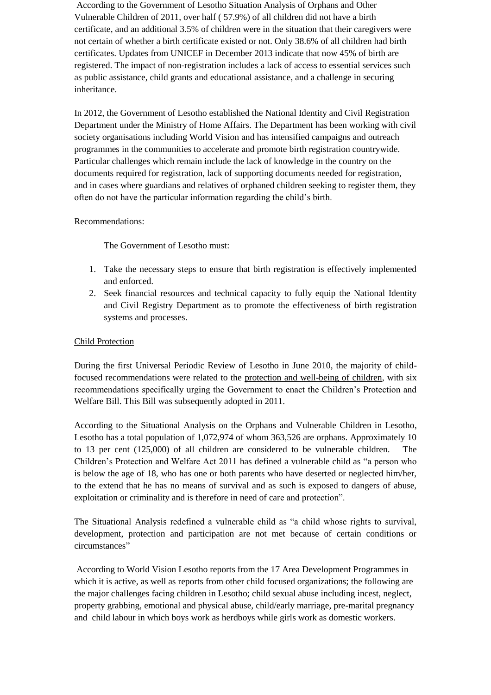According to the Government of Lesotho Situation Analysis of Orphans and Other Vulnerable Children of 2011, over half ( 57.9%) of all children did not have a birth certificate, and an additional 3.5% of children were in the situation that their caregivers were not certain of whether a birth certificate existed or not. Only 38.6% of all children had birth certificates. Updates from UNICEF in December 2013 indicate that now 45% of birth are registered. The impact of non-registration includes a lack of access to essential services such as public assistance, child grants and educational assistance, and a challenge in securing inheritance.

In 2012, the Government of Lesotho established the National Identity and Civil Registration Department under the Ministry of Home Affairs. The Department has been working with civil society organisations including World Vision and has intensified campaigns and outreach programmes in the communities to accelerate and promote birth registration countrywide. Particular challenges which remain include the lack of knowledge in the country on the documents required for registration, lack of supporting documents needed for registration, and in cases where guardians and relatives of orphaned children seeking to register them, they often do not have the particular information regarding the child's birth.

### Recommendations:

The Government of Lesotho must:

- 1. Take the necessary steps to ensure that birth registration is effectively implemented and enforced.
- 2. Seek financial resources and technical capacity to fully equip the National Identity and Civil Registry Department as to promote the effectiveness of birth registration systems and processes.

## Child Protection

During the first Universal Periodic Review of Lesotho in June 2010, the majority of childfocused recommendations were related to the protection and well-being of children, with six recommendations specifically urging the Government to enact the Children's Protection and Welfare Bill. This Bill was subsequently adopted in 2011.

According to the Situational Analysis on the Orphans and Vulnerable Children in Lesotho, Lesotho has a total population of 1,072,974 of whom 363,526 are orphans. Approximately 10 to 13 per cent (125,000) of all children are considered to be vulnerable children. The Children's Protection and Welfare Act 2011 has defined a vulnerable child as "a person who is below the age of 18, who has one or both parents who have deserted or neglected him/her, to the extend that he has no means of survival and as such is exposed to dangers of abuse, exploitation or criminality and is therefore in need of care and protection".

The Situational Analysis redefined a vulnerable child as "a child whose rights to survival, development, protection and participation are not met because of certain conditions or circumstances"

According to World Vision Lesotho reports from the 17 Area Development Programmes in which it is active, as well as reports from other child focused organizations; the following are the major challenges facing children in Lesotho; child sexual abuse including incest, neglect, property grabbing, emotional and physical abuse, child/early marriage, pre-marital pregnancy and child labour in which boys work as herdboys while girls work as domestic workers.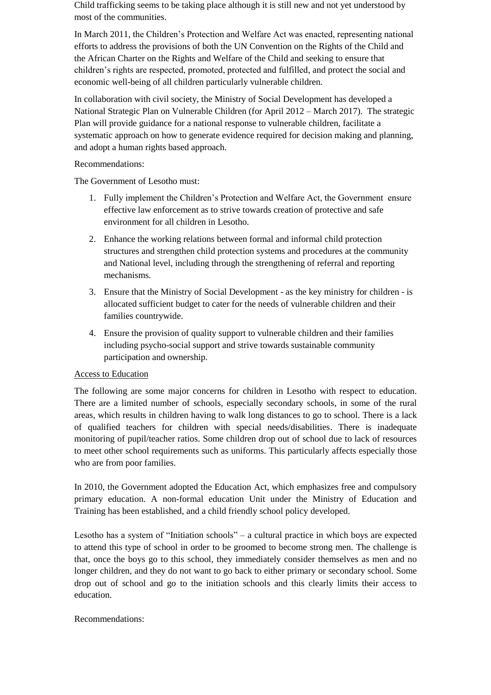Child trafficking seems to be taking place although it is still new and not yet understood by most of the communities.

In March 2011, the Children's Protection and Welfare Act was enacted, representing national efforts to address the provisions of both the UN Convention on the Rights of the Child and the African Charter on the Rights and Welfare of the Child and seeking to ensure that children's rights are respected, promoted, protected and fulfilled, and protect the social and economic well-being of all children particularly vulnerable children.

In collaboration with civil society, the Ministry of Social Development has developed a National Strategic Plan on Vulnerable Children (for April 2012 – March 2017). The strategic Plan will provide guidance for a national response to vulnerable children, facilitate a systematic approach on how to generate evidence required for decision making and planning, and adopt a human rights based approach.

### Recommendations:

The Government of Lesotho must:

- 1. Fully implement the Children's Protection and Welfare Act, the Government ensure effective law enforcement as to strive towards creation of protective and safe environment for all children in Lesotho.
- 2. Enhance the working relations between formal and informal child protection structures and strengthen child protection systems and procedures at the community and National level, including through the strengthening of referral and reporting mechanisms.
- 3. Ensure that the Ministry of Social Development as the key ministry for children is allocated sufficient budget to cater for the needs of vulnerable children and their families countrywide.
- 4. Ensure the provision of quality support to vulnerable children and their families including psycho-social support and strive towards sustainable community participation and ownership.

## Access to Education

The following are some major concerns for children in Lesotho with respect to education. There are a limited number of schools, especially secondary schools, in some of the rural areas, which results in children having to walk long distances to go to school. There is a lack of qualified teachers for children with special needs/disabilities. There is inadequate monitoring of pupil/teacher ratios. Some children drop out of school due to lack of resources to meet other school requirements such as uniforms. This particularly affects especially those who are from poor families.

In 2010, the Government adopted the Education Act, which emphasizes free and compulsory primary education. A non-formal education Unit under the Ministry of Education and Training has been established, and a child friendly school policy developed.

Lesotho has a system of "Initiation schools" – a cultural practice in which boys are expected to attend this type of school in order to be groomed to become strong men. The challenge is that, once the boys go to this school, they immediately consider themselves as men and no longer children, and they do not want to go back to either primary or secondary school. Some drop out of school and go to the initiation schools and this clearly limits their access to education.

## Recommendations: